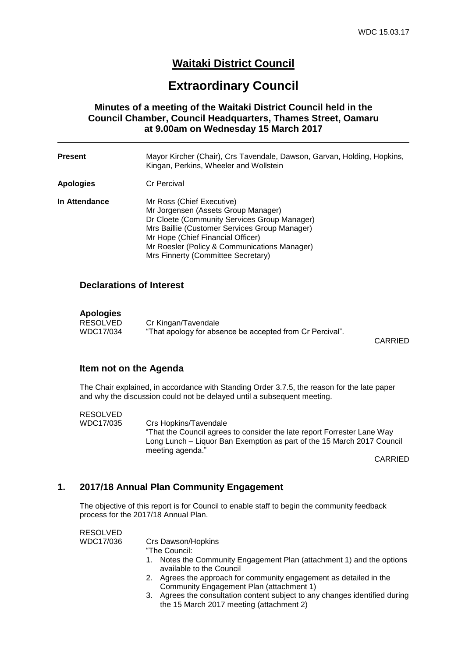# **Waitaki District Council**

# **Extraordinary Council**

## **Minutes of a meeting of the Waitaki District Council held in the Council Chamber, Council Headquarters, Thames Street, Oamaru at 9.00am on Wednesday 15 March 2017**

| <b>Present</b> | Mayor Kircher (Chair), Crs Tavendale, Dawson, Garvan, Holding, Hopkins,<br>Kingan, Perkins, Wheeler and Wollstein                                                                                                                                                                            |
|----------------|----------------------------------------------------------------------------------------------------------------------------------------------------------------------------------------------------------------------------------------------------------------------------------------------|
| Apologies      | <b>Cr Percival</b>                                                                                                                                                                                                                                                                           |
| In Attendance  | Mr Ross (Chief Executive)<br>Mr Jorgensen (Assets Group Manager)<br>Dr Cloete (Community Services Group Manager)<br>Mrs Baillie (Customer Services Group Manager)<br>Mr Hope (Chief Financial Officer)<br>Mr Roesler (Policy & Communications Manager)<br>Mrs Finnerty (Committee Secretary) |

#### **Declarations of Interest**

# **Apologies**

Cr Kingan/Tavendale WDC17/034 "That apology for absence be accepted from Cr Percival".

CARRIED

#### **Item not on the Agenda**

The Chair explained, in accordance with Standing Order 3.7.5, the reason for the late paper and why the discussion could not be delayed until a subsequent meeting.

RESOLVED<br>WDC17/035 Crs Hopkins/Tavendale "That the Council agrees to consider the late report Forrester Lane Way Long Lunch – Liquor Ban Exemption as part of the 15 March 2017 Council meeting agenda."

CARRIED

#### **1. 2017/18 Annual Plan Community Engagement**

The objective of this report is for Council to enable staff to begin the community feedback process for the 2017/18 Annual Plan.

RESOLVED

| WDC17/036 | Crs Dawson/Hopkins                                                                                                      |
|-----------|-------------------------------------------------------------------------------------------------------------------------|
|           | "The Council:                                                                                                           |
|           | 1. Notes the Community Engagement Plan (attachment 1) and the options<br>available to the Council                       |
|           | 2. Agrees the approach for community engagement as detailed in the<br>Community Engagement Plan (attachment 1)          |
|           | 3. Agrees the consultation content subject to any changes identified during<br>the 15 March 2017 meeting (attachment 2) |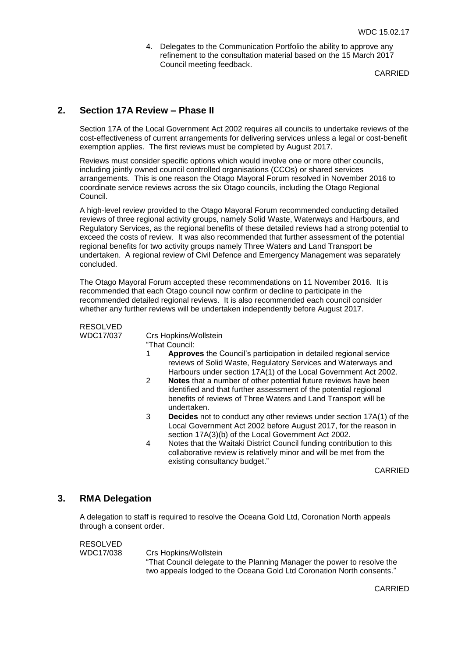4. Delegates to the Communication Portfolio the ability to approve any refinement to the consultation material based on the 15 March 2017 Council meeting feedback.

CARRIED

### **2. Section 17A Review – Phase II**

Section 17A of the Local Government Act 2002 requires all councils to undertake reviews of the cost-effectiveness of current arrangements for delivering services unless a legal or cost-benefit exemption applies. The first reviews must be completed by August 2017.

Reviews must consider specific options which would involve one or more other councils, including jointly owned council controlled organisations (CCOs) or shared services arrangements. This is one reason the Otago Mayoral Forum resolved in November 2016 to coordinate service reviews across the six Otago councils, including the Otago Regional Council.

A high-level review provided to the Otago Mayoral Forum recommended conducting detailed reviews of three regional activity groups, namely Solid Waste, Waterways and Harbours, and Regulatory Services, as the regional benefits of these detailed reviews had a strong potential to exceed the costs of review. It was also recommended that further assessment of the potential regional benefits for two activity groups namely Three Waters and Land Transport be undertaken. A regional review of Civil Defence and Emergency Management was separately concluded.

The Otago Mayoral Forum accepted these recommendations on 11 November 2016. It is recommended that each Otago council now confirm or decline to participate in the recommended detailed regional reviews. It is also recommended each council consider whether any further reviews will be undertaken independently before August 2017.

RESOLVED

WDC17/037 Crs Hopkins/Wollstein

"That Council:<br>1 **Annroy** 

- Approves the Council's participation in detailed regional service reviews of Solid Waste, Regulatory Services and Waterways and Harbours under section 17A(1) of the Local Government Act 2002.
- 2 **Notes** that a number of other potential future reviews have been identified and that further assessment of the potential regional benefits of reviews of Three Waters and Land Transport will be undertaken.
- 3 **Decides** not to conduct any other reviews under section 17A(1) of the Local Government Act 2002 before August 2017, for the reason in section 17A(3)(b) of the Local Government Act 2002.
- 4 Notes that the Waitaki District Council funding contribution to this collaborative review is relatively minor and will be met from the existing consultancy budget."

CARRIED

#### **3. RMA Delegation**

A delegation to staff is required to resolve the Oceana Gold Ltd, Coronation North appeals through a consent order.

RESOLVED<br>WDC17/038

Crs Hopkins/Wollstein "That Council delegate to the Planning Manager the power to resolve the two appeals lodged to the Oceana Gold Ltd Coronation North consents."